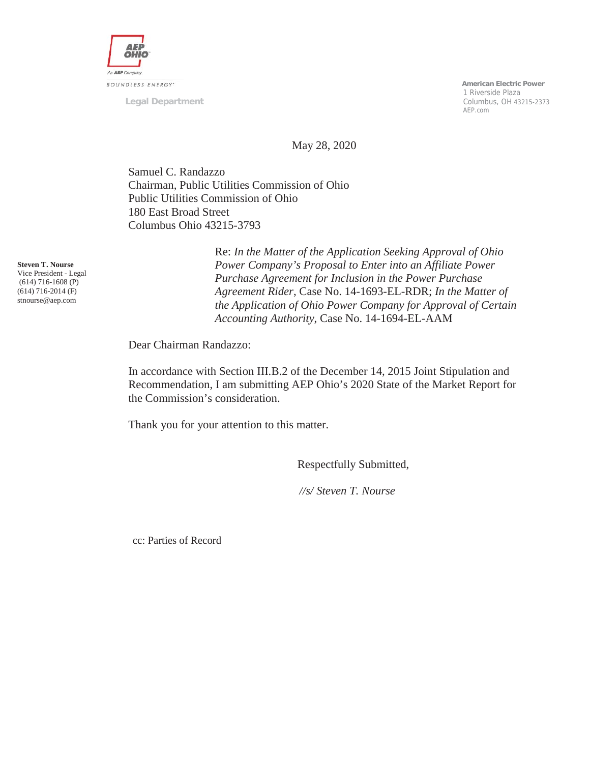

**Legal Department**

 **American Electric Power** 1 Riverside Plaza Columbus, OH 43215-2373 AEP.com

May 28, 2020

Samuel C. Randazzo Chairman, Public Utilities Commission of Ohio Public Utilities Commission of Ohio 180 East Broad Street Columbus Ohio 43215-3793

**Steven T. Nourse** Vice President - Legal (614) 716-1608 (P) (614) 716-2014 (F) stnourse@aep.com

Re: *In the Matter of the Application Seeking Approval of Ohio Power Company's Proposal to Enter into an Affiliate Power Purchase Agreement for Inclusion in the Power Purchase Agreement Rider*, Case No. 14-1693-EL-RDR; *In the Matter of the Application of Ohio Power Company for Approval of Certain Accounting Authority*, Case No. 14-1694-EL-AAM

Dear Chairman Randazzo:

In accordance with Section III.B.2 of the December 14, 2015 Joint Stipulation and Recommendation, I am submitting AEP Ohio's 2020 State of the Market Report for the Commission's consideration.

Thank you for your attention to this matter.

Respectfully Submitted,

*//s/ Steven T. Nourse*

cc: Parties of Record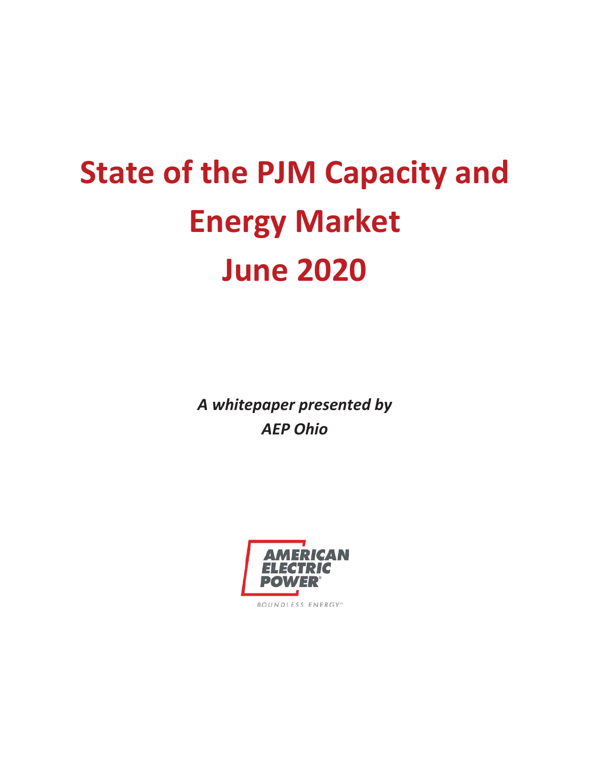# **State of the PJM Capacity and Energy Market June 2020**

*A whitepaper presented by AEP Ohio* 

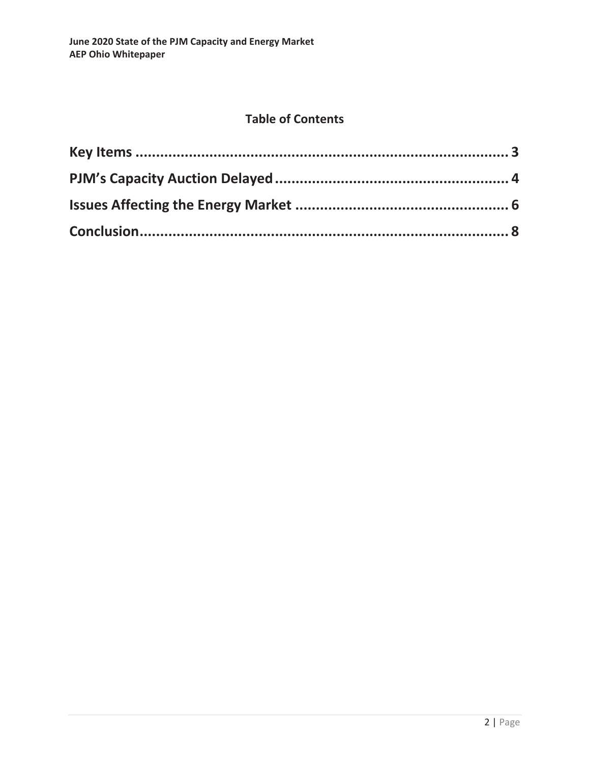## **Table of Contents**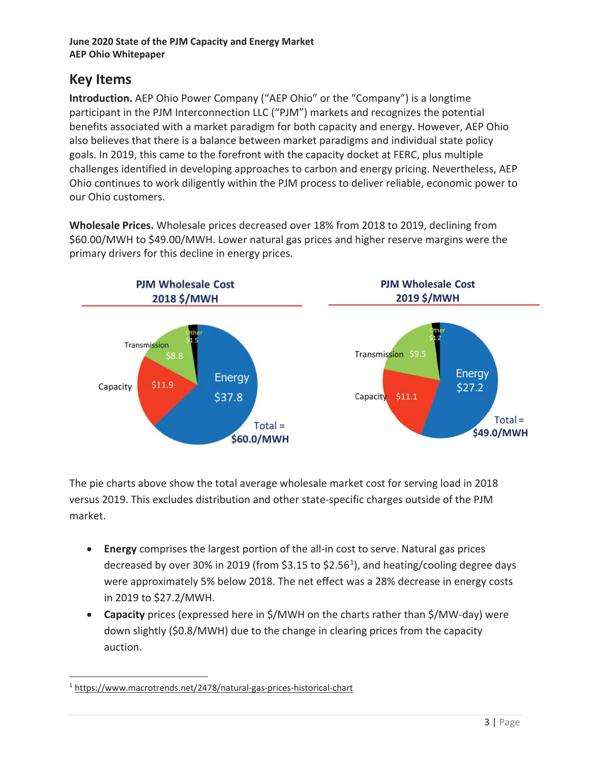## **Key Items**

**Introduction.** AEP Ohio Power Company ("AEP Ohio" or the "Company") is a longtime participant in the PJM Interconnection LLC ("PJM") markets and recognizes the potential benefits associated with a market paradigm for both capacity and energy. However, AEP Ohio also believes that there is a balance between market paradigms and individual state policy goals. In 2019, this came to the forefront with the capacity docket at FERC, plus multiple challenges identified in developing approaches to carbon and energy pricing. Nevertheless, AEP Ohio continues to work diligently within the PJM process to deliver reliable, economic power to our Ohio customers.

**Wholesale Prices.** Wholesale prices decreased over 18% from 2018 to 2019, declining from \$60.00/MWH to \$49.00/MWH. Lower natural gas prices and higher reserve margins were the primary drivers for this decline in energy prices.



The pie charts above show the total average wholesale market cost for serving load in 2018 versus 2019. This excludes distribution and other state-specific charges outside of the PJM market.

- **Energy** comprises the largest portion of the all-in cost to serve. Natural gas prices decreased by over 30% in 2019 (from \$3.15 to \$2.56<sup>1</sup>), and heating/cooling degree days were approximately 5% below 2018. The net effect was a 28% decrease in energy costs in 2019 to \$27.2/MWH.
- **Capacity** prices (expressed here in \$/MWH on the charts rather than \$/MW-day) were down slightly (\$0.8/MWH) due to the change in clearing prices from the capacity auction.

<sup>&</sup>lt;sup>1</sup> https://www.macrotrends.net/2478/natural-gas-prices-historical-chart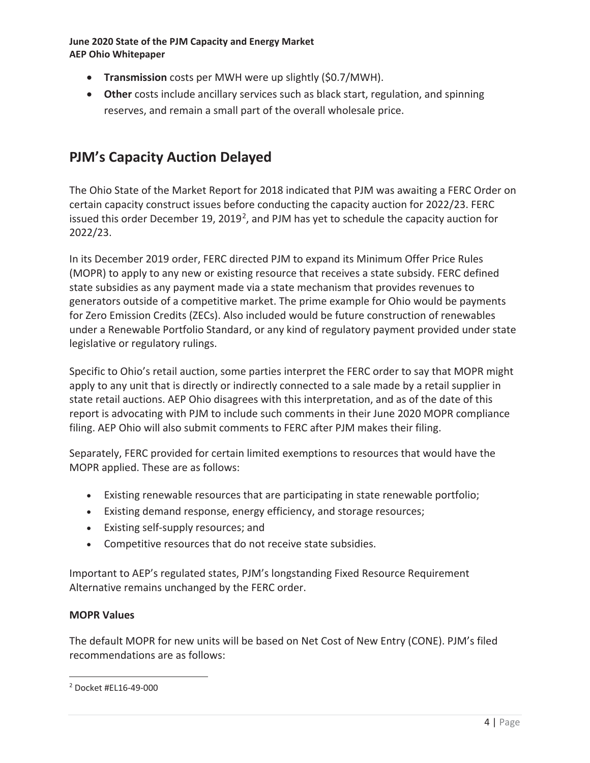- **Transmission** costs per MWH were up slightly (\$0.7/MWH).
- **Other** costs include ancillary services such as black start, regulation, and spinning reserves, and remain a small part of the overall wholesale price.

## **PJM's Capacity Auction Delayed**

The Ohio State of the Market Report for 2018 indicated that PJM was awaiting a FERC Order on certain capacity construct issues before conducting the capacity auction for 2022/23. FERC issued this order December 19, 2019<sup>2</sup>, and PJM has yet to schedule the capacity auction for 2022/23.

In its December 2019 order, FERC directed PJM to expand its Minimum Offer Price Rules (MOPR) to apply to any new or existing resource that receives a state subsidy. FERC defined state subsidies as any payment made via a state mechanism that provides revenues to generators outside of a competitive market. The prime example for Ohio would be payments for Zero Emission Credits (ZECs). Also included would be future construction of renewables under a Renewable Portfolio Standard, or any kind of regulatory payment provided under state legislative or regulatory rulings.

Specific to Ohio's retail auction, some parties interpret the FERC order to say that MOPR might apply to any unit that is directly or indirectly connected to a sale made by a retail supplier in state retail auctions. AEP Ohio disagrees with this interpretation, and as of the date of this report is advocating with PJM to include such comments in their June 2020 MOPR compliance filing. AEP Ohio will also submit comments to FERC after PJM makes their filing.

Separately, FERC provided for certain limited exemptions to resources that would have the MOPR applied. These are as follows:

- Existing renewable resources that are participating in state renewable portfolio;
- Existing demand response, energy efficiency, and storage resources;
- Existing self-supply resources; and
- Competitive resources that do not receive state subsidies.

Important to AEP's regulated states, PJM's longstanding Fixed Resource Requirement Alternative remains unchanged by the FERC order.

#### **MOPR Values**

The default MOPR for new units will be based on Net Cost of New Entry (CONE). PJM's filed recommendations are as follows:

<sup>2</sup> Docket #EL16-49-000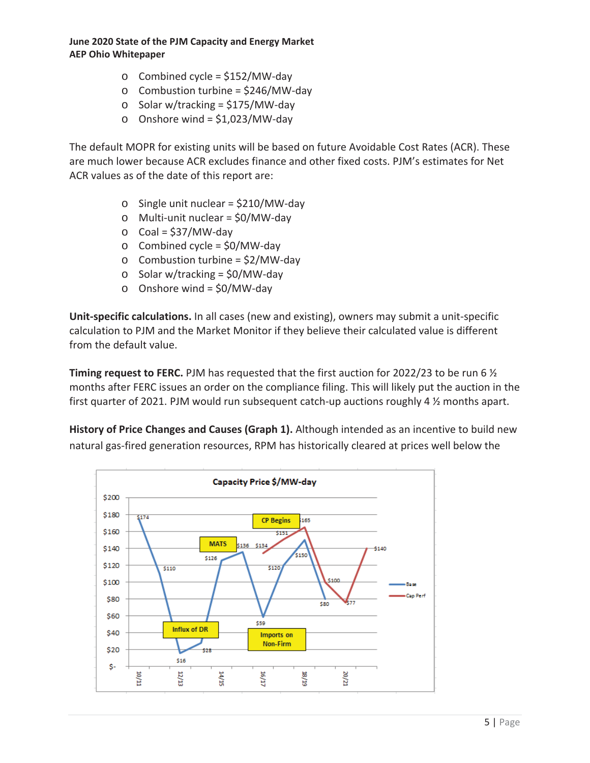- $\circ$  Combined cycle = \$152/MW-day
- $\circ$  Combustion turbine = \$246/MW-day
- o Solar w/tracking = \$175/MW-day
- $\circ$  Onshore wind = \$1,023/MW-day

The default MOPR for existing units will be based on future Avoidable Cost Rates (ACR). These are much lower because ACR excludes finance and other fixed costs. PJM's estimates for Net ACR values as of the date of this report are:

- $\circ$  Single unit nuclear = \$210/MW-day
- o Multi-unit nuclear = \$0/MW-day
- $\circ$  Coal = \$37/MW-day
- $\circ$  Combined cycle = \$0/MW-day
- $\circ$  Combustion turbine = \$2/MW-day
- $\circ$  Solar w/tracking = \$0/MW-day
- $\circ$  Onshore wind = \$0/MW-day

**Unit-specific calculations.** In all cases (new and existing), owners may submit a unit-specific calculation to PJM and the Market Monitor if they believe their calculated value is different from the default value.

**Timing request to FERC.** PJM has requested that the first auction for 2022/23 to be run 6 ½ months after FERC issues an order on the compliance filing. This will likely put the auction in the first quarter of 2021. PJM would run subsequent catch-up auctions roughly 4 ½ months apart.

**History of Price Changes and Causes (Graph 1).** Although intended as an incentive to build new natural gas-fired generation resources, RPM has historically cleared at prices well below the

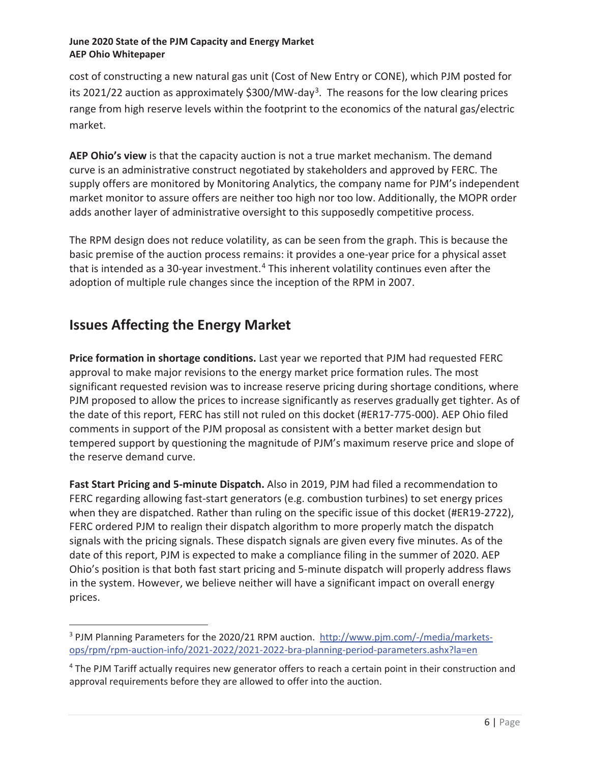cost of constructing a new natural gas unit (Cost of New Entry or CONE), which PJM posted for its 2021/22 auction as approximately \$300/MW-day<sup>3</sup>. The reasons for the low clearing prices range from high reserve levels within the footprint to the economics of the natural gas/electric market.

**AEP Ohio's view** is that the capacity auction is not a true market mechanism. The demand curve is an administrative construct negotiated by stakeholders and approved by FERC. The supply offers are monitored by Monitoring Analytics, the company name for PJM's independent market monitor to assure offers are neither too high nor too low. Additionally, the MOPR order adds another layer of administrative oversight to this supposedly competitive process.

The RPM design does not reduce volatility, as can be seen from the graph. This is because the basic premise of the auction process remains: it provides a one-year price for a physical asset that is intended as a 30-year investment.<sup>4</sup> This inherent volatility continues even after the adoption of multiple rule changes since the inception of the RPM in 2007.

# **Issues Affecting the Energy Market**

**Price formation in shortage conditions.** Last year we reported that PJM had requested FERC approval to make major revisions to the energy market price formation rules. The most significant requested revision was to increase reserve pricing during shortage conditions, where PJM proposed to allow the prices to increase significantly as reserves gradually get tighter. As of the date of this report, FERC has still not ruled on this docket (#ER17-775-000). AEP Ohio filed comments in support of the PJM proposal as consistent with a better market design but tempered support by questioning the magnitude of PJM's maximum reserve price and slope of the reserve demand curve.

**Fast Start Pricing and 5-minute Dispatch.** Also in 2019, PJM had filed a recommendation to FERC regarding allowing fast-start generators (e.g. combustion turbines) to set energy prices when they are dispatched. Rather than ruling on the specific issue of this docket (#ER19-2722), FERC ordered PJM to realign their dispatch algorithm to more properly match the dispatch signals with the pricing signals. These dispatch signals are given every five minutes. As of the date of this report, PJM is expected to make a compliance filing in the summer of 2020. AEP Ohio's position is that both fast start pricing and 5-minute dispatch will properly address flaws in the system. However, we believe neither will have a significant impact on overall energy prices.

<sup>&</sup>lt;sup>3</sup> PJM Planning Parameters for the 2020/21 RPM auction. http://www.pjm.com/-/media/marketsops/rpm/rpm-auction-info/2021-2022/2021-2022-bra-planning-period-parameters.ashx?la=en

<sup>&</sup>lt;sup>4</sup> The PJM Tariff actually requires new generator offers to reach a certain point in their construction and approval requirements before they are allowed to offer into the auction.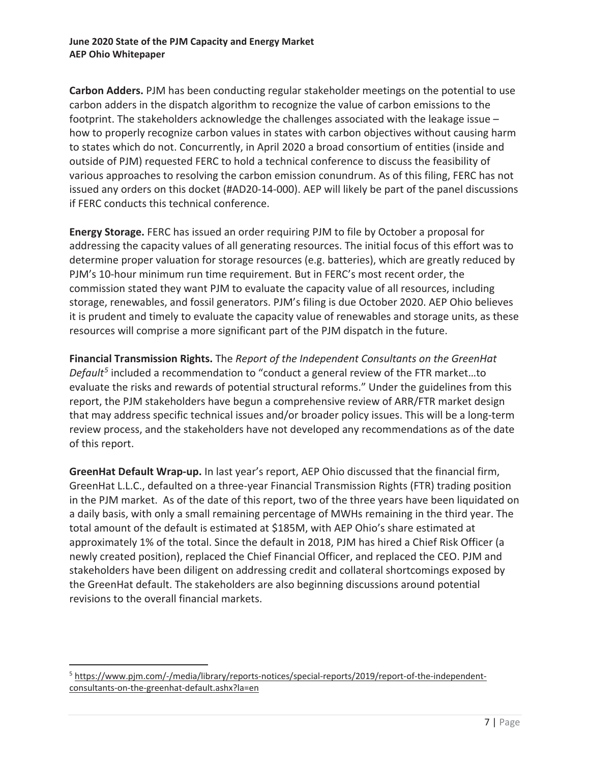**Carbon Adders.** PJM has been conducting regular stakeholder meetings on the potential to use carbon adders in the dispatch algorithm to recognize the value of carbon emissions to the footprint. The stakeholders acknowledge the challenges associated with the leakage issue – how to properly recognize carbon values in states with carbon objectives without causing harm to states which do not. Concurrently, in April 2020 a broad consortium of entities (inside and outside of PJM) requested FERC to hold a technical conference to discuss the feasibility of various approaches to resolving the carbon emission conundrum. As of this filing, FERC has not issued any orders on this docket (#AD20-14-000). AEP will likely be part of the panel discussions if FERC conducts this technical conference.

**Energy Storage.** FERC has issued an order requiring PJM to file by October a proposal for addressing the capacity values of all generating resources. The initial focus of this effort was to determine proper valuation for storage resources (e.g. batteries), which are greatly reduced by PJM's 10-hour minimum run time requirement. But in FERC's most recent order, the commission stated they want PJM to evaluate the capacity value of all resources, including storage, renewables, and fossil generators. PJM's filing is due October 2020. AEP Ohio believes it is prudent and timely to evaluate the capacity value of renewables and storage units, as these resources will comprise a more significant part of the PJM dispatch in the future.

**Financial Transmission Rights.** The *Report of the Independent Consultants on the GreenHat Default5* included a recommendation to "conduct a general review of the FTR market…to evaluate the risks and rewards of potential structural reforms." Under the guidelines from this report, the PJM stakeholders have begun a comprehensive review of ARR/FTR market design that may address specific technical issues and/or broader policy issues. This will be a long-term review process, and the stakeholders have not developed any recommendations as of the date of this report.

**GreenHat Default Wrap-up.** In last year's report, AEP Ohio discussed that the financial firm, GreenHat L.L.C., defaulted on a three-year Financial Transmission Rights (FTR) trading position in the PJM market. As of the date of this report, two of the three years have been liquidated on a daily basis, with only a small remaining percentage of MWHs remaining in the third year. The total amount of the default is estimated at \$185M, with AEP Ohio's share estimated at approximately 1% of the total. Since the default in 2018, PJM has hired a Chief Risk Officer (a newly created position), replaced the Chief Financial Officer, and replaced the CEO. PJM and stakeholders have been diligent on addressing credit and collateral shortcomings exposed by the GreenHat default. The stakeholders are also beginning discussions around potential revisions to the overall financial markets.

<sup>&</sup>lt;sup>5</sup> https://www.pjm.com/-/media/library/reports-notices/special-reports/2019/report-of-the-independentconsultants-on-the-greenhat-default.ashx?la=en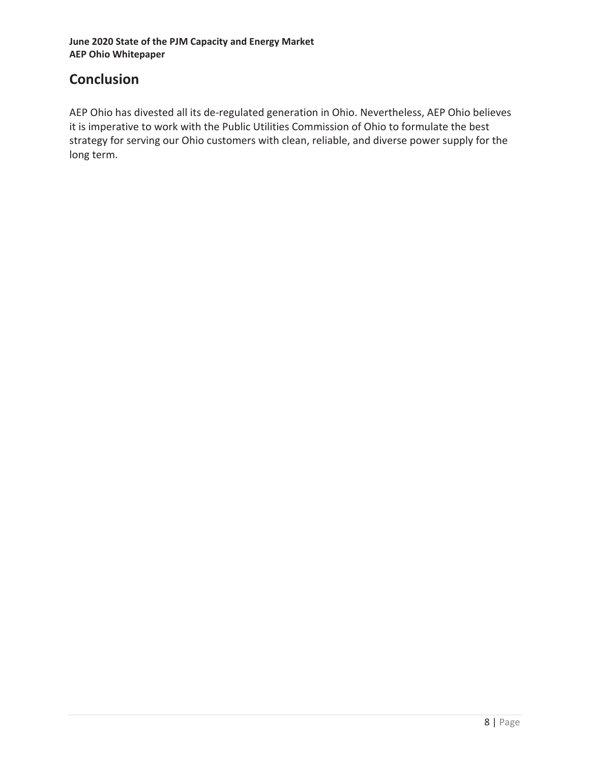# **Conclusion**

AEP Ohio has divested all its de-regulated generation in Ohio. Nevertheless, AEP Ohio believes it is imperative to work with the Public Utilities Commission of Ohio to formulate the best strategy for serving our Ohio customers with clean, reliable, and diverse power supply for the long term.